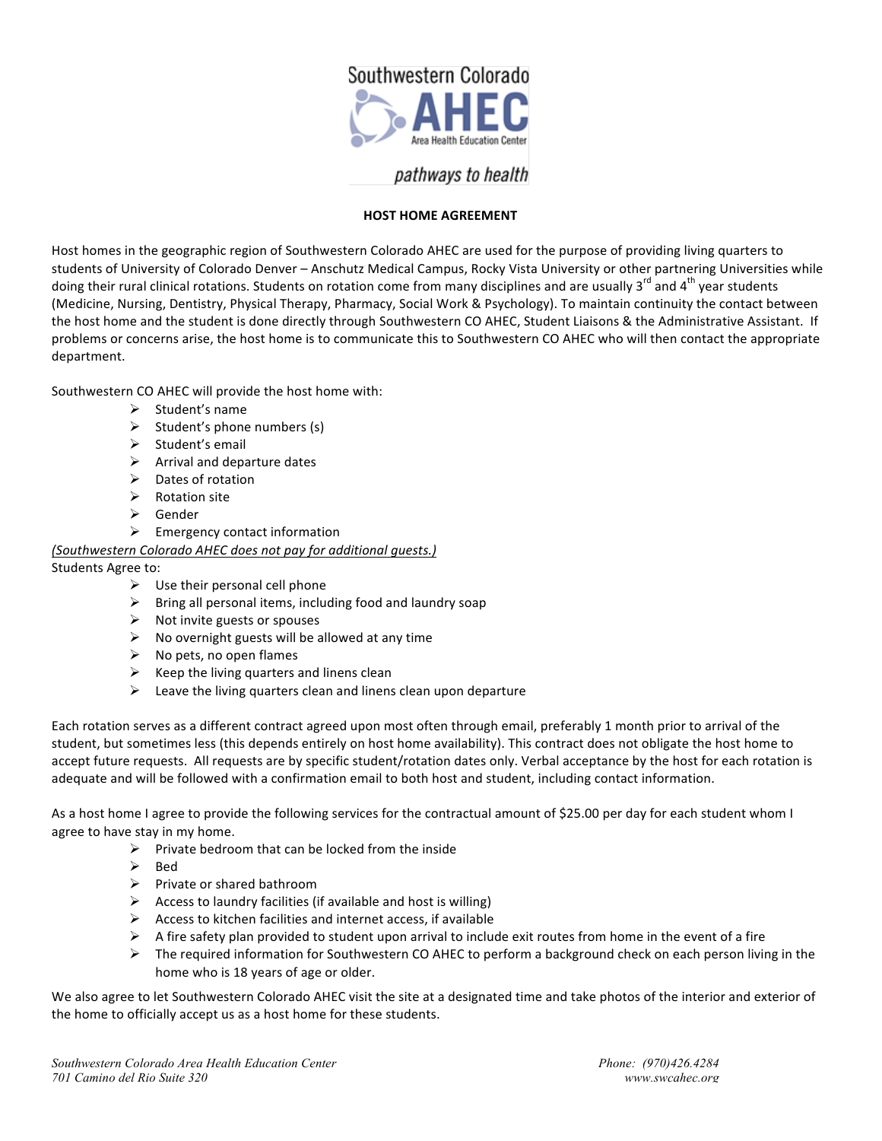

## pathways to health

## **HOST HOME AGREEMENT**

Host homes in the geographic region of Southwestern Colorado AHEC are used for the purpose of providing living quarters to students of University of Colorado Denver - Anschutz Medical Campus, Rocky Vista University or other partnering Universities while doing their rural clinical rotations. Students on rotation come from many disciplines and are usually  $3^{rd}$  and  $4^{th}$  year students (Medicine, Nursing, Dentistry, Physical Therapy, Pharmacy, Social Work & Psychology). To maintain continuity the contact between the host home and the student is done directly through Southwestern CO AHEC, Student Liaisons & the Administrative Assistant. If problems or concerns arise, the host home is to communicate this to Southwestern CO AHEC who will then contact the appropriate department.

Southwestern CO AHEC will provide the host home with:

- $\triangleright$  Student's name
- $\triangleright$  Student's phone numbers (s)
- $\triangleright$  Student's email
- $\triangleright$  Arrival and departure dates
- $\triangleright$  Dates of rotation
- $\triangleright$  Rotation site
- $\triangleright$  Gender
- $\triangleright$  Emergency contact information

## *(Southwestern Colorado AHEC does not pay for additional guests.)*

Students Agree to:

- $\triangleright$  Use their personal cell phone
- $\triangleright$  Bring all personal items, including food and laundry soap
- $\triangleright$  Not invite guests or spouses
- $\triangleright$  No overnight guests will be allowed at any time
- $\triangleright$  No pets, no open flames
- $\triangleright$  Keep the living quarters and linens clean
- $\triangleright$  Leave the living quarters clean and linens clean upon departure

Each rotation serves as a different contract agreed upon most often through email, preferably 1 month prior to arrival of the student, but sometimes less (this depends entirely on host home availability). This contract does not obligate the host home to accept future requests. All requests are by specific student/rotation dates only. Verbal acceptance by the host for each rotation is adequate and will be followed with a confirmation email to both host and student, including contact information.

As a host home I agree to provide the following services for the contractual amount of \$25.00 per day for each student whom I agree to have stay in my home.

- $\triangleright$  Private bedroom that can be locked from the inside
- $\triangleright$  Bed
- $\triangleright$  Private or shared bathroom
- $\triangleright$  Access to laundry facilities (if available and host is willing)
- $\triangleright$  Access to kitchen facilities and internet access, if available
- $\triangleright$  A fire safety plan provided to student upon arrival to include exit routes from home in the event of a fire
- $\triangleright$  The required information for Southwestern CO AHEC to perform a background check on each person living in the home who is 18 years of age or older.

We also agree to let Southwestern Colorado AHEC visit the site at a designated time and take photos of the interior and exterior of the home to officially accept us as a host home for these students.